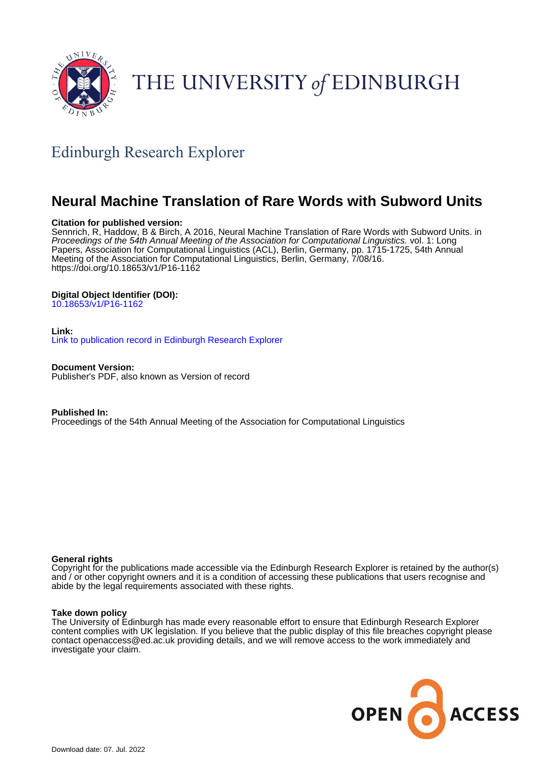

# THE UNIVERSITY of EDINBURGH

# Edinburgh Research Explorer

# **Neural Machine Translation of Rare Words with Subword Units**

#### **Citation for published version:**

Sennrich, R, Haddow, B & Birch, A 2016, Neural Machine Translation of Rare Words with Subword Units. in Proceedings of the 54th Annual Meeting of the Association for Computational Linguistics. vol. 1: Long Papers, Association for Computational Linguistics (ACL), Berlin, Germany, pp. 1715-1725, 54th Annual Meeting of the Association for Computational Linguistics, Berlin, Germany, 7/08/16. <https://doi.org/10.18653/v1/P16-1162>

# **Digital Object Identifier (DOI):**

[10.18653/v1/P16-1162](https://doi.org/10.18653/v1/P16-1162)

#### **Link:**

[Link to publication record in Edinburgh Research Explorer](https://www.research.ed.ac.uk/en/publications/cf383399-0ea9-4185-9d2a-e3d163e04809)

**Document Version:** Publisher's PDF, also known as Version of record

**Published In:** Proceedings of the 54th Annual Meeting of the Association for Computational Linguistics

#### **General rights**

Copyright for the publications made accessible via the Edinburgh Research Explorer is retained by the author(s) and / or other copyright owners and it is a condition of accessing these publications that users recognise and abide by the legal requirements associated with these rights.

#### **Take down policy**

The University of Edinburgh has made every reasonable effort to ensure that Edinburgh Research Explorer content complies with UK legislation. If you believe that the public display of this file breaches copyright please contact openaccess@ed.ac.uk providing details, and we will remove access to the work immediately and investigate your claim.

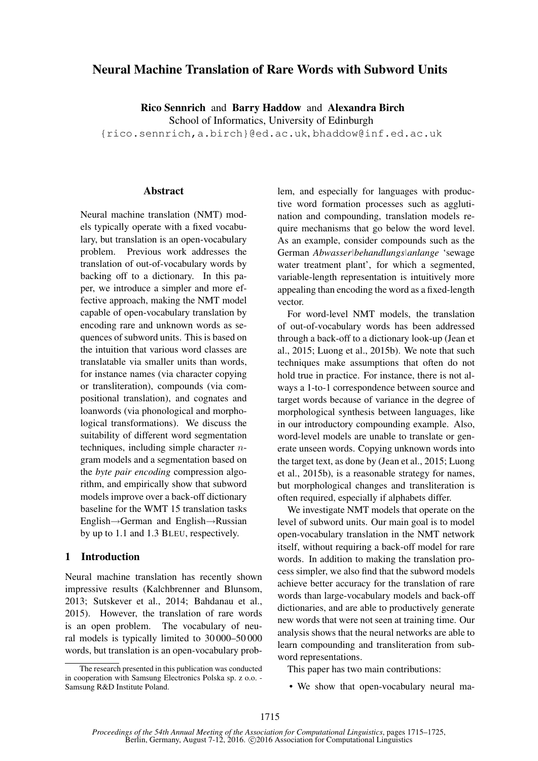# Neural Machine Translation of Rare Words with Subword Units

Rico Sennrich and Barry Haddow and Alexandra Birch

School of Informatics, University of Edinburgh

{rico.sennrich,a.birch}@ed.ac.uk, bhaddow@inf.ed.ac.uk

#### Abstract

Neural machine translation (NMT) models typically operate with a fixed vocabulary, but translation is an open-vocabulary problem. Previous work addresses the translation of out-of-vocabulary words by backing off to a dictionary. In this paper, we introduce a simpler and more effective approach, making the NMT model capable of open-vocabulary translation by encoding rare and unknown words as sequences of subword units. This is based on the intuition that various word classes are translatable via smaller units than words, for instance names (via character copying or transliteration), compounds (via compositional translation), and cognates and loanwords (via phonological and morphological transformations). We discuss the suitability of different word segmentation techniques, including simple character  $n$ gram models and a segmentation based on the *byte pair encoding* compression algorithm, and empirically show that subword models improve over a back-off dictionary baseline for the WMT 15 translation tasks English→German and English→Russian by up to 1.1 and 1.3 BLEU, respectively.

## 1 Introduction

Neural machine translation has recently shown impressive results (Kalchbrenner and Blunsom, 2013; Sutskever et al., 2014; Bahdanau et al., 2015). However, the translation of rare words is an open problem. The vocabulary of neural models is typically limited to 30 000–50 000 words, but translation is an open-vocabulary problem, and especially for languages with productive word formation processes such as agglutination and compounding, translation models require mechanisms that go below the word level. As an example, consider compounds such as the German *Abwasser|behandlungs|anlange* 'sewage water treatment plant', for which a segmented, variable-length representation is intuitively more appealing than encoding the word as a fixed-length vector.

For word-level NMT models, the translation of out-of-vocabulary words has been addressed through a back-off to a dictionary look-up (Jean et al., 2015; Luong et al., 2015b). We note that such techniques make assumptions that often do not hold true in practice. For instance, there is not always a 1-to-1 correspondence between source and target words because of variance in the degree of morphological synthesis between languages, like in our introductory compounding example. Also, word-level models are unable to translate or generate unseen words. Copying unknown words into the target text, as done by (Jean et al., 2015; Luong et al., 2015b), is a reasonable strategy for names, but morphological changes and transliteration is often required, especially if alphabets differ.

We investigate NMT models that operate on the level of subword units. Our main goal is to model open-vocabulary translation in the NMT network itself, without requiring a back-off model for rare words. In addition to making the translation process simpler, we also find that the subword models achieve better accuracy for the translation of rare words than large-vocabulary models and back-off dictionaries, and are able to productively generate new words that were not seen at training time. Our analysis shows that the neural networks are able to learn compounding and transliteration from subword representations.

This paper has two main contributions:

• We show that open-vocabulary neural ma-

The research presented in this publication was conducted in cooperation with Samsung Electronics Polska sp. z o.o. - Samsung R&D Institute Poland.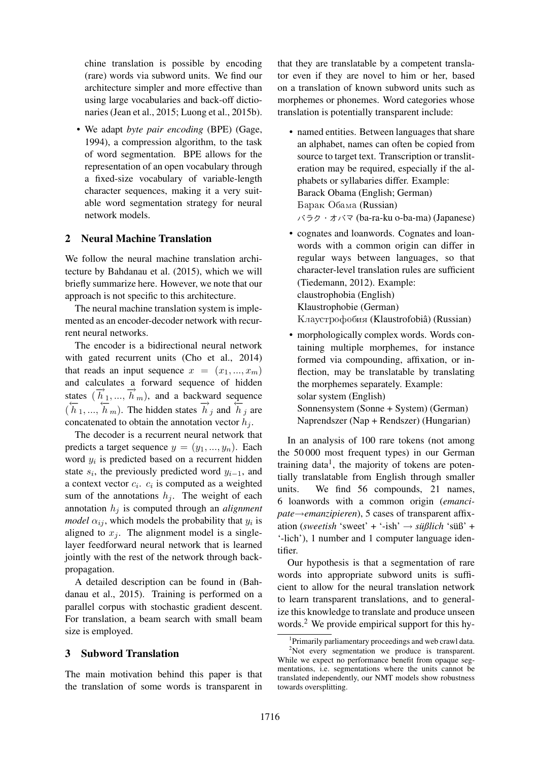chine translation is possible by encoding (rare) words via subword units. We find our architecture simpler and more effective than using large vocabularies and back-off dictionaries (Jean et al., 2015; Luong et al., 2015b).

• We adapt *byte pair encoding* (BPE) (Gage, 1994), a compression algorithm, to the task of word segmentation. BPE allows for the representation of an open vocabulary through a fixed-size vocabulary of variable-length character sequences, making it a very suitable word segmentation strategy for neural network models.

#### 2 Neural Machine Translation

We follow the neural machine translation architecture by Bahdanau et al. (2015), which we will briefly summarize here. However, we note that our approach is not specific to this architecture.

The neural machine translation system is implemented as an encoder-decoder network with recurrent neural networks.

The encoder is a bidirectional neural network with gated recurrent units (Cho et al., 2014) that reads an input sequence  $x = (x_1, ..., x_m)$ and calculates a forward sequence of hidden states  $(\overrightarrow{h}_1, ..., \overrightarrow{h}_m)$ , and a backward sequence  $(\overleftarrow{h}_1, ..., \overleftarrow{h}_m)$ . The hidden states  $\overrightarrow{h}_j$  and  $\overleftarrow{h}_j$  are concatenated to obtain the annotation vector  $h_i$ .

The decoder is a recurrent neural network that predicts a target sequence  $y = (y_1, ..., y_n)$ . Each word  $y_i$  is predicted based on a recurrent hidden state  $s_i$ , the previously predicted word  $y_{i-1}$ , and a context vector  $c_i$ .  $c_i$  is computed as a weighted sum of the annotations  $h_i$ . The weight of each annotation  $h_j$  is computed through an *alignment model*  $\alpha_{ij}$ , which models the probability that  $y_i$  is aligned to  $x_i$ . The alignment model is a singlelayer feedforward neural network that is learned jointly with the rest of the network through backpropagation.

A detailed description can be found in (Bahdanau et al., 2015). Training is performed on a parallel corpus with stochastic gradient descent. For translation, a beam search with small beam size is employed.

#### 3 Subword Translation

The main motivation behind this paper is that the translation of some words is transparent in

that they are translatable by a competent translator even if they are novel to him or her, based on a translation of known subword units such as morphemes or phonemes. Word categories whose translation is potentially transparent include:

- named entities. Between languages that share an alphabet, names can often be copied from source to target text. Transcription or transliteration may be required, especially if the alphabets or syllabaries differ. Example: Barack Obama (English; German) Барак Обама (Russian) バラク・オバマ (ba-ra-ku o-ba-ma) (Japanese)
- cognates and loanwords. Cognates and loanwords with a common origin can differ in regular ways between languages, so that character-level translation rules are sufficient (Tiedemann, 2012). Example: claustrophobia (English) Klaustrophobie (German) Клаустрофобия (Klaustrofobiâ) (Russian)
- morphologically complex words. Words containing multiple morphemes, for instance formed via compounding, affixation, or inflection, may be translatable by translating the morphemes separately. Example: solar system (English) Sonnensystem (Sonne + System) (German) Naprendszer (Nap + Rendszer) (Hungarian)

In an analysis of 100 rare tokens (not among the 50 000 most frequent types) in our German training data<sup>1</sup>, the majority of tokens are potentially translatable from English through smaller units. We find 56 compounds, 21 names, 6 loanwords with a common origin (*emancipate*→*emanzipieren*), 5 cases of transparent affixation (*sweetish* 'sweet' + '-ish' → *süßlich* 'süß' + '-lich'), 1 number and 1 computer language identifier.

Our hypothesis is that a segmentation of rare words into appropriate subword units is sufficient to allow for the neural translation network to learn transparent translations, and to generalize this knowledge to translate and produce unseen words.<sup>2</sup> We provide empirical support for this hy-

<sup>1</sup> Primarily parliamentary proceedings and web crawl data.

 $2$ Not every segmentation we produce is transparent. While we expect no performance benefit from opaque segmentations, i.e. segmentations where the units cannot be translated independently, our NMT models show robustness towards oversplitting.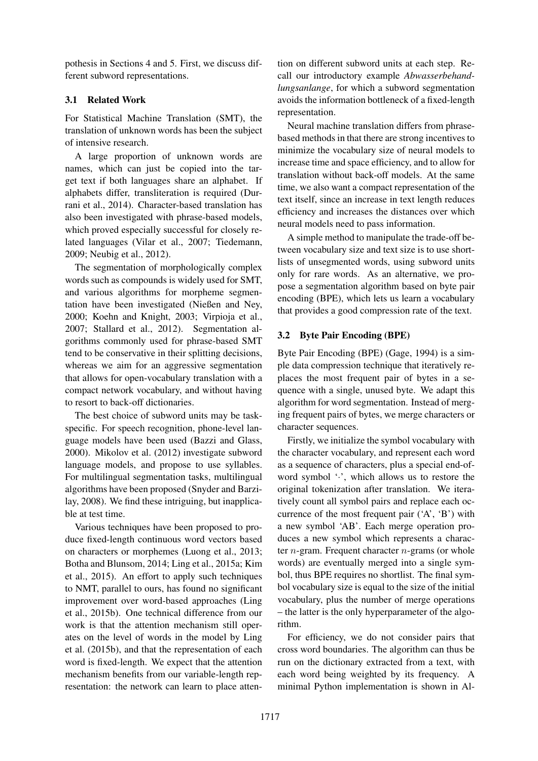pothesis in Sections 4 and 5. First, we discuss different subword representations.

# 3.1 Related Work

For Statistical Machine Translation (SMT), the translation of unknown words has been the subject of intensive research.

A large proportion of unknown words are names, which can just be copied into the target text if both languages share an alphabet. If alphabets differ, transliteration is required (Durrani et al., 2014). Character-based translation has also been investigated with phrase-based models, which proved especially successful for closely related languages (Vilar et al., 2007; Tiedemann, 2009; Neubig et al., 2012).

The segmentation of morphologically complex words such as compounds is widely used for SMT, and various algorithms for morpheme segmentation have been investigated (Nießen and Ney, 2000; Koehn and Knight, 2003; Virpioja et al., 2007; Stallard et al., 2012). Segmentation algorithms commonly used for phrase-based SMT tend to be conservative in their splitting decisions, whereas we aim for an aggressive segmentation that allows for open-vocabulary translation with a compact network vocabulary, and without having to resort to back-off dictionaries.

The best choice of subword units may be taskspecific. For speech recognition, phone-level language models have been used (Bazzi and Glass, 2000). Mikolov et al. (2012) investigate subword language models, and propose to use syllables. For multilingual segmentation tasks, multilingual algorithms have been proposed (Snyder and Barzilay, 2008). We find these intriguing, but inapplicable at test time.

Various techniques have been proposed to produce fixed-length continuous word vectors based on characters or morphemes (Luong et al., 2013; Botha and Blunsom, 2014; Ling et al., 2015a; Kim et al., 2015). An effort to apply such techniques to NMT, parallel to ours, has found no significant improvement over word-based approaches (Ling et al., 2015b). One technical difference from our work is that the attention mechanism still operates on the level of words in the model by Ling et al. (2015b), and that the representation of each word is fixed-length. We expect that the attention mechanism benefits from our variable-length representation: the network can learn to place attention on different subword units at each step. Recall our introductory example *Abwasserbehandlungsanlange*, for which a subword segmentation avoids the information bottleneck of a fixed-length representation.

Neural machine translation differs from phrasebased methods in that there are strong incentives to minimize the vocabulary size of neural models to increase time and space efficiency, and to allow for translation without back-off models. At the same time, we also want a compact representation of the text itself, since an increase in text length reduces efficiency and increases the distances over which neural models need to pass information.

A simple method to manipulate the trade-off between vocabulary size and text size is to use shortlists of unsegmented words, using subword units only for rare words. As an alternative, we propose a segmentation algorithm based on byte pair encoding (BPE), which lets us learn a vocabulary that provides a good compression rate of the text.

# 3.2 Byte Pair Encoding (BPE)

Byte Pair Encoding (BPE) (Gage, 1994) is a simple data compression technique that iteratively replaces the most frequent pair of bytes in a sequence with a single, unused byte. We adapt this algorithm for word segmentation. Instead of merging frequent pairs of bytes, we merge characters or character sequences.

Firstly, we initialize the symbol vocabulary with the character vocabulary, and represent each word as a sequence of characters, plus a special end-ofword symbol ' $\cdot$ ', which allows us to restore the original tokenization after translation. We iteratively count all symbol pairs and replace each occurrence of the most frequent pair ('A', 'B') with a new symbol 'AB'. Each merge operation produces a new symbol which represents a character  $n$ -gram. Frequent character  $n$ -grams (or whole words) are eventually merged into a single symbol, thus BPE requires no shortlist. The final symbol vocabulary size is equal to the size of the initial vocabulary, plus the number of merge operations – the latter is the only hyperparameter of the algorithm.

For efficiency, we do not consider pairs that cross word boundaries. The algorithm can thus be run on the dictionary extracted from a text, with each word being weighted by its frequency. A minimal Python implementation is shown in Al-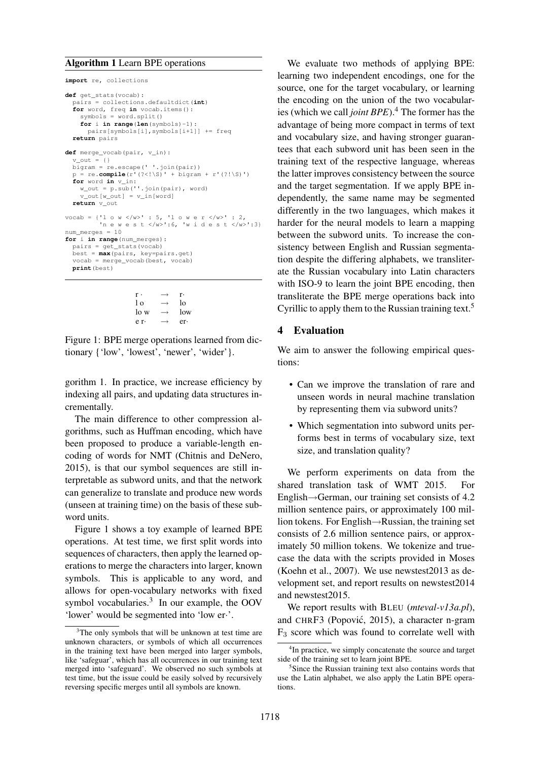#### Algorithm 1 Learn BPE operations

```
import re, collections
def get_stats(vocab):
  pairs = collections.defaultdict(int)
  for word, freq in vocab.items():
    swmbols = word.split()for i in range(len(symbols)-1):
      pairs[symbols[i],symbols[i+1]] += freq
  return pairs
def merge_vocab(pair, v_in):
  v out = {} {}
  bigram = re.escape(' '.join(pair))
  p = re.compile(r'(? \le |\S)'+bigarrow(r' (? \le |\S)')for word in v_in:
w_out = p.sub(''.join(pair), word)
    \overline{v} out [w \overline{v} out ] = v \overline{v} in [word]
  return v_out
vocab = {'1 o w </w>' : 5, '1 o w e r </w>' : 2,
          'n e w e s t </w>':6, 'w i d e s t </w>':3}
num merges = 10for i in range(num_merges):
  pairs = get_stats(vocab)
  best = max(pairs, key=pairs.get)
  vocab = merge_vocab(best, vocab)
  print(best)
```

```
r \cdot \longrightarrow r \cdot\begin{array}{ccc} \n\log \theta & \to & \log \theta \\ \n\log \theta & \to & \log \theta \n\end{array}\begin{array}{ccc} \n\text{lo w} & \rightarrow & \text{low} \\ \n\text{e r} & \rightarrow & \text{er} \n\end{array}e r·
```
Figure 1: BPE merge operations learned from dictionary {'low', 'lowest', 'newer', 'wider'}.

gorithm 1. In practice, we increase efficiency by indexing all pairs, and updating data structures incrementally.

The main difference to other compression algorithms, such as Huffman encoding, which have been proposed to produce a variable-length encoding of words for NMT (Chitnis and DeNero, 2015), is that our symbol sequences are still interpretable as subword units, and that the network can generalize to translate and produce new words (unseen at training time) on the basis of these subword units.

Figure 1 shows a toy example of learned BPE operations. At test time, we first split words into sequences of characters, then apply the learned operations to merge the characters into larger, known symbols. This is applicable to any word, and allows for open-vocabulary networks with fixed symbol vocabularies.<sup>3</sup> In our example, the OOV 'lower' would be segmented into 'low er·'.

We evaluate two methods of applying BPE: learning two independent encodings, one for the source, one for the target vocabulary, or learning the encoding on the union of the two vocabularies (which we call *joint BPE*).<sup>4</sup> The former has the advantage of being more compact in terms of text and vocabulary size, and having stronger guarantees that each subword unit has been seen in the training text of the respective language, whereas the latter improves consistency between the source and the target segmentation. If we apply BPE independently, the same name may be segmented differently in the two languages, which makes it harder for the neural models to learn a mapping between the subword units. To increase the consistency between English and Russian segmentation despite the differing alphabets, we transliterate the Russian vocabulary into Latin characters with ISO-9 to learn the joint BPE encoding, then transliterate the BPE merge operations back into Cyrillic to apply them to the Russian training text.<sup>5</sup>

## 4 Evaluation

We aim to answer the following empirical questions:

- Can we improve the translation of rare and unseen words in neural machine translation by representing them via subword units?
- Which segmentation into subword units performs best in terms of vocabulary size, text size, and translation quality?

We perform experiments on data from the shared translation task of WMT 2015. For English→German, our training set consists of 4.2 million sentence pairs, or approximately 100 million tokens. For English→Russian, the training set consists of 2.6 million sentence pairs, or approximately 50 million tokens. We tokenize and truecase the data with the scripts provided in Moses (Koehn et al., 2007). We use newstest2013 as development set, and report results on newstest2014 and newstest2015.

We report results with BLEU (*mteval-v13a.pl*), and CHRF3 (Popović, 2015), a character n-gram  $F<sub>3</sub>$  score which was found to correlate well with

<sup>&</sup>lt;sup>3</sup>The only symbols that will be unknown at test time are unknown characters, or symbols of which all occurrences in the training text have been merged into larger symbols, like 'safeguar', which has all occurrences in our training text merged into 'safeguard'. We observed no such symbols at test time, but the issue could be easily solved by recursively reversing specific merges until all symbols are known.

<sup>&</sup>lt;sup>4</sup>In practice, we simply concatenate the source and target side of the training set to learn joint BPE.

<sup>5</sup> Since the Russian training text also contains words that use the Latin alphabet, we also apply the Latin BPE operations.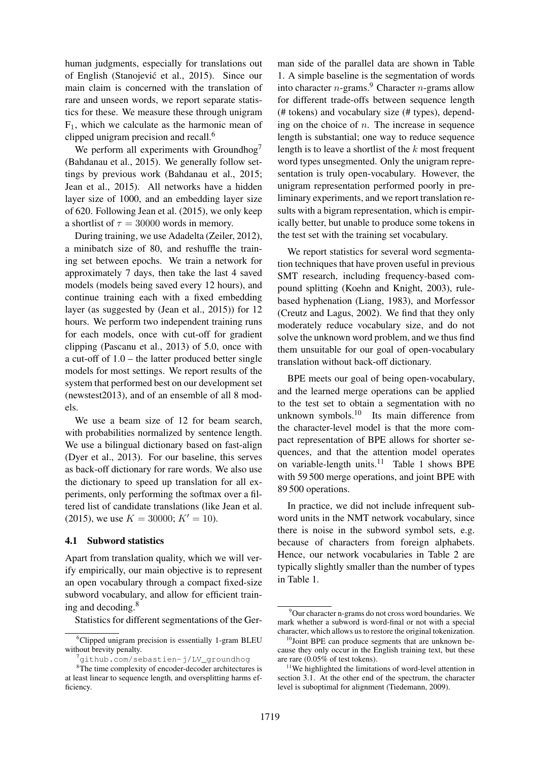human judgments, especially for translations out of English (Stanojevic et al., 2015). Since our ´ main claim is concerned with the translation of rare and unseen words, we report separate statistics for these. We measure these through unigram  $F_1$ , which we calculate as the harmonic mean of clipped unigram precision and recall.<sup>6</sup>

We perform all experiments with Groundhog<sup>7</sup> (Bahdanau et al., 2015). We generally follow settings by previous work (Bahdanau et al., 2015; Jean et al., 2015). All networks have a hidden layer size of 1000, and an embedding layer size of 620. Following Jean et al. (2015), we only keep a shortlist of  $\tau = 30000$  words in memory.

During training, we use Adadelta (Zeiler, 2012), a minibatch size of 80, and reshuffle the training set between epochs. We train a network for approximately 7 days, then take the last 4 saved models (models being saved every 12 hours), and continue training each with a fixed embedding layer (as suggested by (Jean et al., 2015)) for 12 hours. We perform two independent training runs for each models, once with cut-off for gradient clipping (Pascanu et al., 2013) of 5.0, once with a cut-off of 1.0 – the latter produced better single models for most settings. We report results of the system that performed best on our development set (newstest2013), and of an ensemble of all 8 models.

We use a beam size of 12 for beam search, with probabilities normalized by sentence length. We use a bilingual dictionary based on fast-align (Dyer et al., 2013). For our baseline, this serves as back-off dictionary for rare words. We also use the dictionary to speed up translation for all experiments, only performing the softmax over a filtered list of candidate translations (like Jean et al. (2015), we use  $K = 30000$ ;  $K' = 10$ .

#### 4.1 Subword statistics

Apart from translation quality, which we will verify empirically, our main objective is to represent an open vocabulary through a compact fixed-size subword vocabulary, and allow for efficient training and decoding.<sup>8</sup>

Statistics for different segmentations of the Ger-

man side of the parallel data are shown in Table 1. A simple baseline is the segmentation of words into character  $n$ -grams.<sup>9</sup> Character  $n$ -grams allow for different trade-offs between sequence length (# tokens) and vocabulary size (# types), depending on the choice of  $n$ . The increase in sequence length is substantial; one way to reduce sequence length is to leave a shortlist of the  $k$  most frequent word types unsegmented. Only the unigram representation is truly open-vocabulary. However, the unigram representation performed poorly in preliminary experiments, and we report translation results with a bigram representation, which is empirically better, but unable to produce some tokens in the test set with the training set vocabulary.

We report statistics for several word segmentation techniques that have proven useful in previous SMT research, including frequency-based compound splitting (Koehn and Knight, 2003), rulebased hyphenation (Liang, 1983), and Morfessor (Creutz and Lagus, 2002). We find that they only moderately reduce vocabulary size, and do not solve the unknown word problem, and we thus find them unsuitable for our goal of open-vocabulary translation without back-off dictionary.

BPE meets our goal of being open-vocabulary, and the learned merge operations can be applied to the test set to obtain a segmentation with no unknown symbols. $10$  Its main difference from the character-level model is that the more compact representation of BPE allows for shorter sequences, and that the attention model operates on variable-length units.<sup>11</sup> Table 1 shows BPE with 59 500 merge operations, and joint BPE with 89 500 operations.

In practice, we did not include infrequent subword units in the NMT network vocabulary, since there is noise in the subword symbol sets, e.g. because of characters from foreign alphabets. Hence, our network vocabularies in Table 2 are typically slightly smaller than the number of types in Table 1.

<sup>&</sup>lt;sup>6</sup>Clipped unigram precision is essentially 1-gram BLEU without brevity penalty.

<sup>7</sup>github.com/sebastien-j/LV\_groundhog

<sup>&</sup>lt;sup>8</sup>The time complexity of encoder-decoder architectures is at least linear to sequence length, and oversplitting harms efficiency.

 $9$ Our character n-grams do not cross word boundaries. We mark whether a subword is word-final or not with a special character, which allows us to restore the original tokenization.

<sup>&</sup>lt;sup>10</sup>Joint BPE can produce segments that are unknown because they only occur in the English training text, but these are rare (0.05% of test tokens).

<sup>&</sup>lt;sup>11</sup>We highlighted the limitations of word-level attention in section 3.1. At the other end of the spectrum, the character level is suboptimal for alignment (Tiedemann, 2009).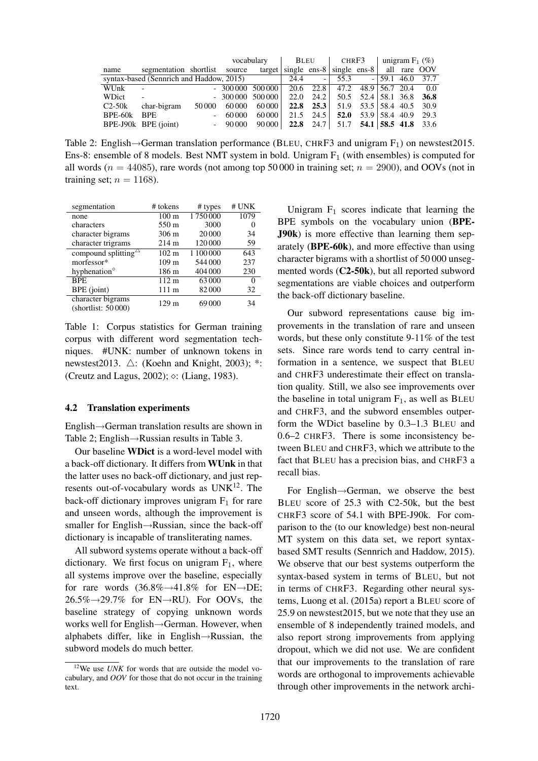|                                          |                               |                  |        | vocabulary      |                | BLEU          | CHRF3                                                  |                          | unigram $F_1$ (%)  |      |
|------------------------------------------|-------------------------------|------------------|--------|-----------------|----------------|---------------|--------------------------------------------------------|--------------------------|--------------------|------|
| name                                     | segmentation shortlist source |                  |        | target          |                |               | single ens-8 $\vert$ single ens-8 $\vert$ all rare OOV |                          |                    |      |
| syntax-based (Sennrich and Haddow, 2015) |                               |                  |        | 24.4            | $\overline{a}$ | 55.3          |                                                        |                          | $-159.1$ 46.0 37.7 |      |
| WUnk                                     | $\overline{\phantom{a}}$      |                  |        | $-300000500000$ |                |               | 20.6 22.8 47.2 48.9 56.7 20.4                          |                          |                    | 0.0  |
| WDict                                    | $\sim$                        |                  |        | $-300000500000$ | 22.0           | 24.2          |                                                        | 50.5 52.4 58.1 36.8 36.8 |                    |      |
| $C2-50k$                                 | char-bigram                   | 50 000           | 60,000 | 60 000          |                | $22.8$ $25.3$ |                                                        | 51.9 53.5 58.4 40.5 30.9 |                    |      |
| BPE-60k                                  | <b>BPE</b>                    |                  | 60000  | 60 000          |                | $21.5$ $24.5$ |                                                        | 52.0 $53.9$ 58.4 40.9    |                    | 29.3 |
|                                          | BPE-J90k BPE (joint)          | $\sim$ 100 $\mu$ | 90 000 | 90 000          |                |               | <b>22.8</b> 24.7 51.7 <b>54.1</b> 58.5 41.8 33.6       |                          |                    |      |

Table 2: English $\rightarrow$ German translation performance (BLEU, CHRF3 and unigram F<sub>1</sub>) on newstest2015. Ens-8: ensemble of 8 models. Best NMT system in bold. Unigram  $F_1$  (with ensembles) is computed for all words ( $n = 44085$ ), rare words (not among top 50 000 in training set;  $n = 2900$ ), and OOVs (not in training set;  $n = 1168$ ).

| segmentation                            | # tokens         | $#$ types | # UNK |
|-----------------------------------------|------------------|-----------|-------|
| none                                    | $100 \text{ m}$  | 1750000   | 1079  |
| characters                              | 550 m            | 3000      |       |
| character bigrams                       | $306 \text{ m}$  | 20 000    | 34    |
| character trigrams                      | $214 \text{ m}$  | 120 000   | 59    |
| compound splitting $\triangle$          | $102 \text{ m}$  | 1 100 000 | 643   |
| morfessor*                              | 109 <sub>m</sub> | 544 000   | 237   |
| hyphenation $\degree$                   | 186 m            | 404 000   | 230   |
| <b>BPE</b>                              | $112 \text{ m}$  | 63000     |       |
| BPE (joint)                             | 111 m            | 82000     | 32    |
| character bigrams<br>(shortlist: 50000) | 129 m            | 69000     | 34    |

Table 1: Corpus statistics for German training corpus with different word segmentation techniques. #UNK: number of unknown tokens in newstest2013.  $\triangle$ : (Koehn and Knight, 2003); \*: (Creutz and Lagus, 2002);  $\circ$ : (Liang, 1983).

#### 4.2 Translation experiments

English→German translation results are shown in Table 2; English→Russian results in Table 3.

Our baseline WDict is a word-level model with a back-off dictionary. It differs from WUnk in that the latter uses no back-off dictionary, and just represents out-of-vocabulary words as  $UNK<sup>12</sup>$ . The back-off dictionary improves unigram  $F_1$  for rare and unseen words, although the improvement is smaller for English→Russian, since the back-off dictionary is incapable of transliterating names.

All subword systems operate without a back-off dictionary. We first focus on unigram  $F_1$ , where all systems improve over the baseline, especially for rare words  $(36.8\% \rightarrow 41.8\%$  for EN $\rightarrow$ DE;  $26.5\% \rightarrow 29.7\%$  for EN $\rightarrow$ RU). For OOVs, the baseline strategy of copying unknown words works well for English→German. However, when alphabets differ, like in English→Russian, the subword models do much better.

Unigram  $F_1$  scores indicate that learning the BPE symbols on the vocabulary union (BPE-J90k) is more effective than learning them separately (BPE-60k), and more effective than using character bigrams with a shortlist of 50 000 unsegmented words (C2-50k), but all reported subword segmentations are viable choices and outperform the back-off dictionary baseline.

Our subword representations cause big improvements in the translation of rare and unseen words, but these only constitute 9-11% of the test sets. Since rare words tend to carry central information in a sentence, we suspect that BLEU and CHRF3 underestimate their effect on translation quality. Still, we also see improvements over the baseline in total unigram  $F_1$ , as well as BLEU and CHRF3, and the subword ensembles outperform the WDict baseline by 0.3–1.3 BLEU and 0.6–2 CHRF3. There is some inconsistency between BLEU and CHRF3, which we attribute to the fact that BLEU has a precision bias, and CHRF3 a recall bias.

For English→German, we observe the best BLEU score of 25.3 with C2-50k, but the best CHRF3 score of 54.1 with BPE-J90k. For comparison to the (to our knowledge) best non-neural MT system on this data set, we report syntaxbased SMT results (Sennrich and Haddow, 2015). We observe that our best systems outperform the syntax-based system in terms of BLEU, but not in terms of CHRF3. Regarding other neural systems, Luong et al. (2015a) report a BLEU score of 25.9 on newstest2015, but we note that they use an ensemble of 8 independently trained models, and also report strong improvements from applying dropout, which we did not use. We are confident that our improvements to the translation of rare words are orthogonal to improvements achievable through other improvements in the network archi-

<sup>&</sup>lt;sup>12</sup>We use *UNK* for words that are outside the model vocabulary, and *OOV* for those that do not occur in the training text.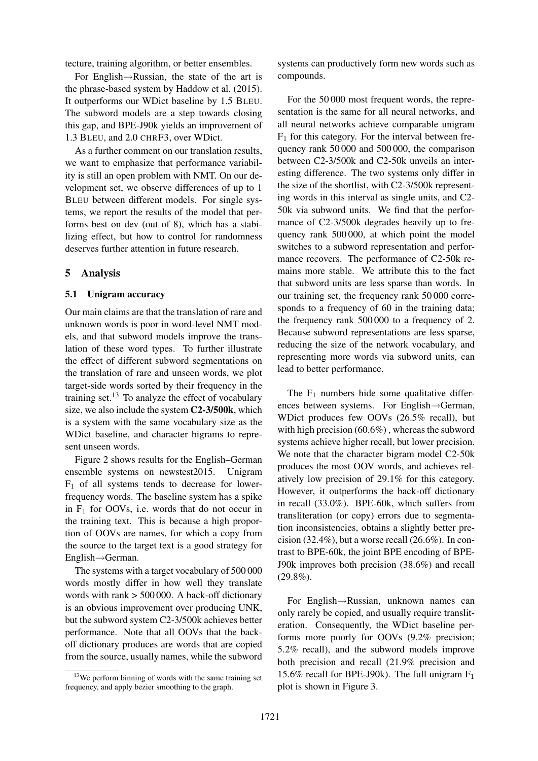tecture, training algorithm, or better ensembles.

For English→Russian, the state of the art is the phrase-based system by Haddow et al. (2015). It outperforms our WDict baseline by 1.5 BLEU. The subword models are a step towards closing this gap, and BPE-J90k yields an improvement of 1.3 BLEU, and 2.0 CHRF3, over WDict.

As a further comment on our translation results, we want to emphasize that performance variability is still an open problem with NMT. On our development set, we observe differences of up to 1 BLEU between different models. For single systems, we report the results of the model that performs best on dev (out of 8), which has a stabilizing effect, but how to control for randomness deserves further attention in future research.

#### 5 Analysis

#### 5.1 Unigram accuracy

Our main claims are that the translation of rare and unknown words is poor in word-level NMT models, and that subword models improve the translation of these word types. To further illustrate the effect of different subword segmentations on the translation of rare and unseen words, we plot target-side words sorted by their frequency in the training set. $^{13}$  To analyze the effect of vocabulary size, we also include the system C2-3/500k, which is a system with the same vocabulary size as the WDict baseline, and character bigrams to represent unseen words.

Figure 2 shows results for the English–German ensemble systems on newstest2015. Unigram  $F_1$  of all systems tends to decrease for lowerfrequency words. The baseline system has a spike in  $F_1$  for OOVs, i.e. words that do not occur in the training text. This is because a high proportion of OOVs are names, for which a copy from the source to the target text is a good strategy for English→German.

The systems with a target vocabulary of 500 000 words mostly differ in how well they translate words with rank > 500 000. A back-off dictionary is an obvious improvement over producing UNK, but the subword system C2-3/500k achieves better performance. Note that all OOVs that the backoff dictionary produces are words that are copied from the source, usually names, while the subword systems can productively form new words such as compounds.

For the 50 000 most frequent words, the representation is the same for all neural networks, and all neural networks achieve comparable unigram  $F_1$  for this category. For the interval between frequency rank 50 000 and 500 000, the comparison between C2-3/500k and C2-50k unveils an interesting difference. The two systems only differ in the size of the shortlist, with C2-3/500k representing words in this interval as single units, and C2- 50k via subword units. We find that the performance of C2-3/500k degrades heavily up to frequency rank 500 000, at which point the model switches to a subword representation and performance recovers. The performance of C2-50k remains more stable. We attribute this to the fact that subword units are less sparse than words. In our training set, the frequency rank 50 000 corresponds to a frequency of 60 in the training data; the frequency rank 500 000 to a frequency of 2. Because subword representations are less sparse, reducing the size of the network vocabulary, and representing more words via subword units, can lead to better performance.

The  $F_1$  numbers hide some qualitative differences between systems. For English→German, WDict produces few OOVs (26.5% recall), but with high precision (60.6%) , whereas the subword systems achieve higher recall, but lower precision. We note that the character bigram model C2-50k produces the most OOV words, and achieves relatively low precision of 29.1% for this category. However, it outperforms the back-off dictionary in recall (33.0%). BPE-60k, which suffers from transliteration (or copy) errors due to segmentation inconsistencies, obtains a slightly better precision (32.4%), but a worse recall  $(26.6\%)$ . In contrast to BPE-60k, the joint BPE encoding of BPE-J90k improves both precision (38.6%) and recall  $(29.8\%)$ .

For English→Russian, unknown names can only rarely be copied, and usually require transliteration. Consequently, the WDict baseline performs more poorly for OOVs (9.2% precision; 5.2% recall), and the subword models improve both precision and recall (21.9% precision and 15.6% recall for BPE-J90k). The full unigram  $F_1$ plot is shown in Figure 3.

 $13$ We perform binning of words with the same training set frequency, and apply bezier smoothing to the graph.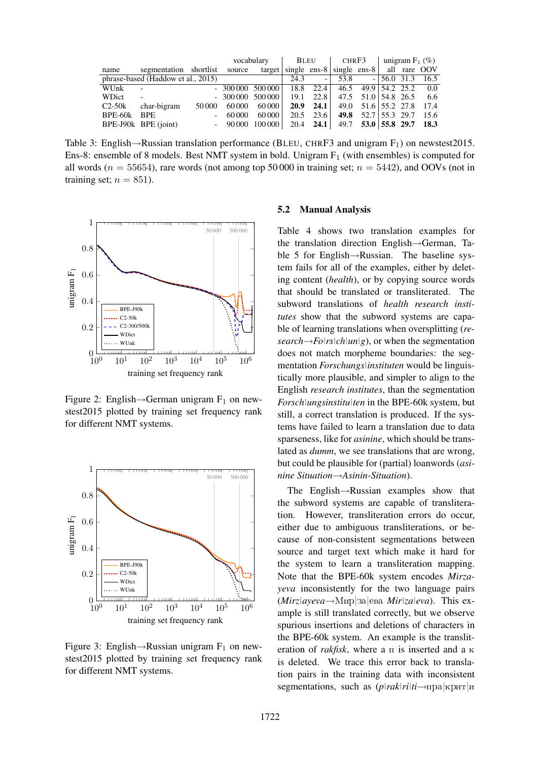|             |                                                                             |                          |                                                                             | vocabulary | BLEU |      | CHRF3                                |  | unigram $F_1$ (%) |  |                    |
|-------------|-----------------------------------------------------------------------------|--------------------------|-----------------------------------------------------------------------------|------------|------|------|--------------------------------------|--|-------------------|--|--------------------|
| name        | segmentation shortlist source target single ens-8 single ens-8 all rare OOV |                          |                                                                             |            |      |      |                                      |  |                   |  |                    |
|             | phrase-based (Haddow et al., 2015)                                          |                          |                                                                             |            | 24.3 | $-1$ | 53.8                                 |  |                   |  | $-156.0$ 31.3 16.5 |
| WUnk        | $\sim$                                                                      |                          | $-30000050000$                                                              |            |      |      | 18.8 22.4 46.5 49.9 54.2 25.2        |  |                   |  | 0.0                |
| WDict       | $\sim$                                                                      |                          | $-30000050000$                                                              |            |      |      | $19.1$ 22.8 47.5 51.0 54.8 26.5      |  |                   |  | 6.6                |
| $C2-50k$    | char-bigram                                                                 | 50 000                   | 60 000                                                                      | 60 000     |      |      | <b>20.9</b> 24.1 49.0 51.6 55.2 27.8 |  |                   |  | 17.4               |
| BPE-60k BPE |                                                                             | $\overline{\phantom{a}}$ | 60 000                                                                      | 60 000     |      |      | 20.5 23.6 49.8 52.7 55.3 29.7        |  |                   |  | 15.6               |
|             | BPE-J90k BPE (joint)                                                        |                          | $-90000$ $100000$ $20.4$ <b>24.1</b> $\mid$ 49.7 <b>53.0 55.8 29.7 18.3</b> |            |      |      |                                      |  |                   |  |                    |

Table 3: English $\rightarrow$ Russian translation performance (BLEU, CHRF3 and unigram F<sub>1</sub>) on newstest2015. Ens-8: ensemble of 8 models. Best NMT system in bold. Unigram  $F_1$  (with ensembles) is computed for all words ( $n = 55654$ ), rare words (not among top 50 000 in training set;  $n = 5442$ ), and OOVs (not in training set;  $n = 851$ ).



Figure 2: English $\rightarrow$ German unigram F<sub>1</sub> on newstest2015 plotted by training set frequency rank for different NMT systems.



Figure 3: English→Russian unigram  $F_1$  on newstest2015 plotted by training set frequency rank for different NMT systems.

#### 5.2 Manual Analysis

Table 4 shows two translation examples for the translation direction English→German, Table 5 for English→Russian. The baseline system fails for all of the examples, either by deleting content (*health*), or by copying source words that should be translated or transliterated. The subword translations of *health research institutes* show that the subword systems are capable of learning translations when oversplitting (*re* $search \rightarrow Folrs|ch|un|g$ , or when the segmentation does not match morpheme boundaries: the segmentation *Forschungs|instituten* would be linguistically more plausible, and simpler to align to the English *research institutes*, than the segmentation *Forsch|ungsinstitu|ten* in the BPE-60k system, but still, a correct translation is produced. If the systems have failed to learn a translation due to data sparseness, like for *asinine*, which should be translated as *dumm*, we see translations that are wrong, but could be plausible for (partial) loanwords (*asinine Situation*→*Asinin-Situation*).

The English→Russian examples show that the subword systems are capable of transliteration. However, transliteration errors do occur, either due to ambiguous transliterations, or because of non-consistent segmentations between source and target text which make it hard for the system to learn a transliteration mapping. Note that the BPE-60k system encodes *Mirzayeva* inconsistently for the two language pairs  $(Mirz|aveva \rightarrow M_{HD}|aa|eba Mir|zaleva)$ . This example is still translated correctly, but we observe spurious insertions and deletions of characters in the BPE-60k system. An example is the transliteration of *rakfisk*, where a  $\pi$  is inserted and a  $\kappa$ is deleted. We trace this error back to translation pairs in the training data with inconsistent segmentations, such as  $(p|rak|ri|ti \rightarrow npa|kpmr|li$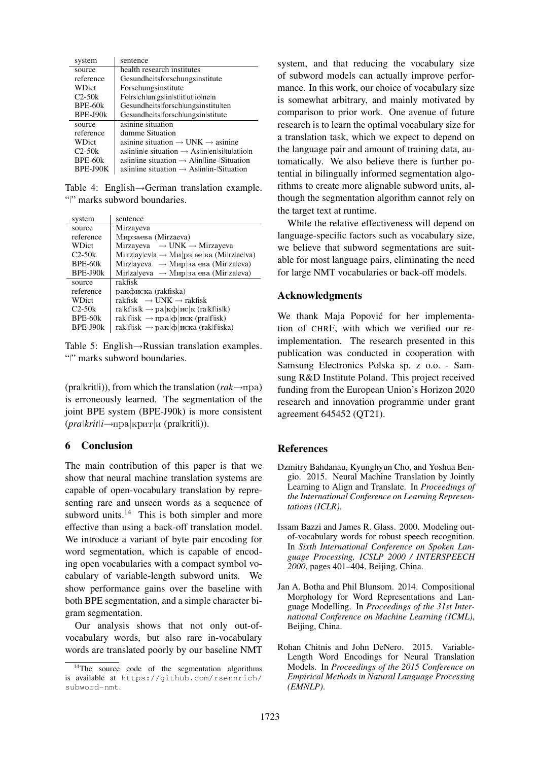| system    | sentence                                                            |
|-----------|---------------------------------------------------------------------|
| source    | health research institutes                                          |
| reference | Gesundheitsforschungsinstitute                                      |
| WDict     | Forschungsinstitute                                                 |
| $C2-50k$  | Folrschlungslingstitutioneln                                        |
| $BPE-60k$ | Gesundheits forsch ungsinstitu ten                                  |
| BPE-J90k  | Gesundheits forsch ungsin stitute                                   |
| source    | asinine situation                                                   |
| reference | dumme Situation                                                     |
| WDict     | asinine situation $\rightarrow$ UNK $\rightarrow$ asinine           |
| $C2-50k$  | $\alpha$ as in line situation $\rightarrow$ As lines helitulates as |
| BPE-60k   | as line situation $\rightarrow$ Alin line-Situation                 |
| BPE-J90K  | as in line situation $\rightarrow$ As in lin-Situation              |

Table 4: English→German translation example. "|" marks subword boundaries.

| system         | sentence                                                                        |
|----------------|---------------------------------------------------------------------------------|
| source         | Mirzayeva                                                                       |
| reference      | Мирзаева (Mirzaeva)                                                             |
| WDict          | Mirzayeva $\rightarrow$ UNK $\rightarrow$ Mirzayeva                             |
| $C2-50k$       | $Milrzlaylevla \rightarrow Mn p3 ae ba (Milrzlaelva)$                           |
| BPE-60k        | Mirzlayeva $\rightarrow$ M $_{HD}$ 3a eba (Mirzaleva)                           |
| BPE-J90k       | Mir za yeva $\rightarrow$ M $_{HD}$  3a  eba (Mir za eva)                       |
| source         | rakfisk                                                                         |
| reference      | ракфиска (rakfiska)                                                             |
| WDict          | rakfisk $\rightarrow$ UNK $\rightarrow$ rakfisk                                 |
| $C2-50k$       | ralkflislk $\rightarrow$ pa  $\kappa \phi$   $\kappa c$   $\kappa$ (ralkflislk) |
| <b>BPE-60k</b> | raklflisk $\rightarrow$ пра $ \phi $ иск (pralflisk)                            |
| $BPE-J90k$     | rak f isk $\rightarrow$ рак ф иска (rak f iska)                                 |

Table 5: English→Russian translation examples. "|" marks subword boundaries.

(pra|krit|i)), from which the translation ( $rak \rightarrow \pi$ pa) is erroneously learned. The segmentation of the joint BPE system (BPE-J90k) is more consistent  $(pr a | krit | i \rightarrow np a | kpur | n (pr a | krit | i)).$ 

# 6 Conclusion

The main contribution of this paper is that we show that neural machine translation systems are capable of open-vocabulary translation by representing rare and unseen words as a sequence of subword units. $14$  This is both simpler and more effective than using a back-off translation model. We introduce a variant of byte pair encoding for word segmentation, which is capable of encoding open vocabularies with a compact symbol vocabulary of variable-length subword units. We show performance gains over the baseline with both BPE segmentation, and a simple character bigram segmentation.

Our analysis shows that not only out-ofvocabulary words, but also rare in-vocabulary words are translated poorly by our baseline NMT system, and that reducing the vocabulary size of subword models can actually improve performance. In this work, our choice of vocabulary size is somewhat arbitrary, and mainly motivated by comparison to prior work. One avenue of future research is to learn the optimal vocabulary size for a translation task, which we expect to depend on the language pair and amount of training data, automatically. We also believe there is further potential in bilingually informed segmentation algorithms to create more alignable subword units, although the segmentation algorithm cannot rely on the target text at runtime.

While the relative effectiveness will depend on language-specific factors such as vocabulary size, we believe that subword segmentations are suitable for most language pairs, eliminating the need for large NMT vocabularies or back-off models.

# Acknowledgments

We thank Maja Popović for her implementation of CHRF, with which we verified our reimplementation. The research presented in this publication was conducted in cooperation with Samsung Electronics Polska sp. z o.o. - Samsung R&D Institute Poland. This project received funding from the European Union's Horizon 2020 research and innovation programme under grant agreement 645452 (QT21).

## References

- Dzmitry Bahdanau, Kyunghyun Cho, and Yoshua Bengio. 2015. Neural Machine Translation by Jointly Learning to Align and Translate. In *Proceedings of the International Conference on Learning Representations (ICLR)*.
- Issam Bazzi and James R. Glass. 2000. Modeling outof-vocabulary words for robust speech recognition. In *Sixth International Conference on Spoken Language Processing, ICSLP 2000 / INTERSPEECH 2000*, pages 401–404, Beijing, China.
- Jan A. Botha and Phil Blunsom. 2014. Compositional Morphology for Word Representations and Language Modelling. In *Proceedings of the 31st International Conference on Machine Learning (ICML)*, Beijing, China.
- Rohan Chitnis and John DeNero. 2015. Variable-Length Word Encodings for Neural Translation Models. In *Proceedings of the 2015 Conference on Empirical Methods in Natural Language Processing (EMNLP)*.

<sup>&</sup>lt;sup>14</sup>The source code of the segmentation algorithms is available at https://github.com/rsennrich/ subword-nmt.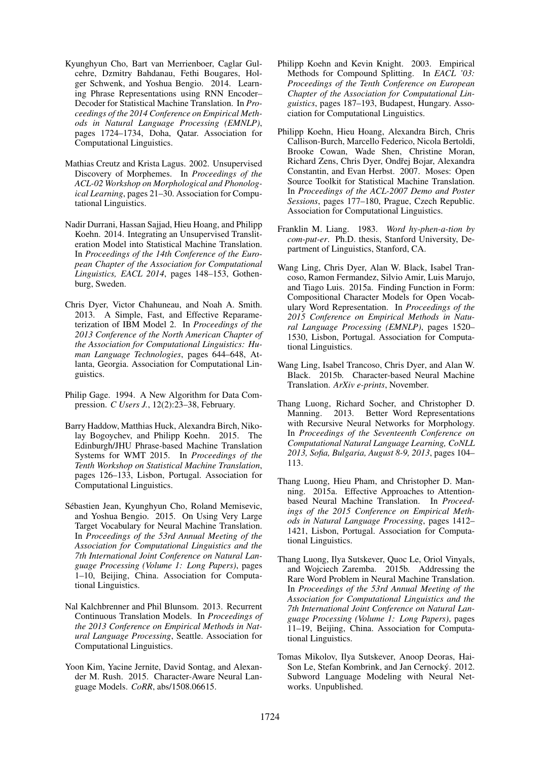- Kyunghyun Cho, Bart van Merrienboer, Caglar Gulcehre, Dzmitry Bahdanau, Fethi Bougares, Holger Schwenk, and Yoshua Bengio. 2014. Learning Phrase Representations using RNN Encoder– Decoder for Statistical Machine Translation. In *Proceedings of the 2014 Conference on Empirical Methods in Natural Language Processing (EMNLP)*, pages 1724–1734, Doha, Qatar. Association for Computational Linguistics.
- Mathias Creutz and Krista Lagus. 2002. Unsupervised Discovery of Morphemes. In *Proceedings of the ACL-02 Workshop on Morphological and Phonological Learning*, pages 21–30. Association for Computational Linguistics.
- Nadir Durrani, Hassan Sajjad, Hieu Hoang, and Philipp Koehn. 2014. Integrating an Unsupervised Transliteration Model into Statistical Machine Translation. In *Proceedings of the 14th Conference of the European Chapter of the Association for Computational Linguistics, EACL 2014*, pages 148–153, Gothenburg, Sweden.
- Chris Dyer, Victor Chahuneau, and Noah A. Smith. 2013. A Simple, Fast, and Effective Reparameterization of IBM Model 2. In *Proceedings of the 2013 Conference of the North American Chapter of the Association for Computational Linguistics: Human Language Technologies*, pages 644–648, Atlanta, Georgia. Association for Computational Linguistics.
- Philip Gage. 1994. A New Algorithm for Data Compression. *C Users J.*, 12(2):23–38, February.
- Barry Haddow, Matthias Huck, Alexandra Birch, Nikolay Bogoychev, and Philipp Koehn. 2015. The Edinburgh/JHU Phrase-based Machine Translation Systems for WMT 2015. In *Proceedings of the Tenth Workshop on Statistical Machine Translation*, pages 126–133, Lisbon, Portugal. Association for Computational Linguistics.
- Sébastien Jean, Kyunghyun Cho, Roland Memisevic, and Yoshua Bengio. 2015. On Using Very Large Target Vocabulary for Neural Machine Translation. In *Proceedings of the 53rd Annual Meeting of the Association for Computational Linguistics and the 7th International Joint Conference on Natural Language Processing (Volume 1: Long Papers)*, pages 1–10, Beijing, China. Association for Computational Linguistics.
- Nal Kalchbrenner and Phil Blunsom. 2013. Recurrent Continuous Translation Models. In *Proceedings of the 2013 Conference on Empirical Methods in Natural Language Processing*, Seattle. Association for Computational Linguistics.
- Yoon Kim, Yacine Jernite, David Sontag, and Alexander M. Rush. 2015. Character-Aware Neural Language Models. *CoRR*, abs/1508.06615.
- Philipp Koehn and Kevin Knight. 2003. Empirical Methods for Compound Splitting. In *EACL '03: Proceedings of the Tenth Conference on European Chapter of the Association for Computational Linguistics*, pages 187–193, Budapest, Hungary. Association for Computational Linguistics.
- Philipp Koehn, Hieu Hoang, Alexandra Birch, Chris Callison-Burch, Marcello Federico, Nicola Bertoldi, Brooke Cowan, Wade Shen, Christine Moran, Richard Zens, Chris Dyer, Ondřej Bojar, Alexandra Constantin, and Evan Herbst. 2007. Moses: Open Source Toolkit for Statistical Machine Translation. In *Proceedings of the ACL-2007 Demo and Poster Sessions*, pages 177–180, Prague, Czech Republic. Association for Computational Linguistics.
- Franklin M. Liang. 1983. *Word hy-phen-a-tion by com-put-er*. Ph.D. thesis, Stanford University, Department of Linguistics, Stanford, CA.
- Wang Ling, Chris Dyer, Alan W. Black, Isabel Trancoso, Ramon Fermandez, Silvio Amir, Luis Marujo, and Tiago Luis. 2015a. Finding Function in Form: Compositional Character Models for Open Vocabulary Word Representation. In *Proceedings of the 2015 Conference on Empirical Methods in Natural Language Processing (EMNLP)*, pages 1520– 1530, Lisbon, Portugal. Association for Computational Linguistics.
- Wang Ling, Isabel Trancoso, Chris Dyer, and Alan W. Black. 2015b. Character-based Neural Machine Translation. *ArXiv e-prints*, November.
- Thang Luong, Richard Socher, and Christopher D. Manning. 2013. Better Word Representations with Recursive Neural Networks for Morphology. In *Proceedings of the Seventeenth Conference on Computational Natural Language Learning, CoNLL 2013, Sofia, Bulgaria, August 8-9, 2013*, pages 104– 113.
- Thang Luong, Hieu Pham, and Christopher D. Manning. 2015a. Effective Approaches to Attentionbased Neural Machine Translation. In *Proceedings of the 2015 Conference on Empirical Methods in Natural Language Processing*, pages 1412– 1421, Lisbon, Portugal. Association for Computational Linguistics.
- Thang Luong, Ilya Sutskever, Quoc Le, Oriol Vinyals, and Wojciech Zaremba. 2015b. Addressing the Rare Word Problem in Neural Machine Translation. In *Proceedings of the 53rd Annual Meeting of the Association for Computational Linguistics and the 7th International Joint Conference on Natural Language Processing (Volume 1: Long Papers)*, pages 11–19, Beijing, China. Association for Computational Linguistics.
- Tomas Mikolov, Ilya Sutskever, Anoop Deoras, Hai-Son Le, Stefan Kombrink, and Jan Cernocký. 2012. Subword Language Modeling with Neural Networks. Unpublished.